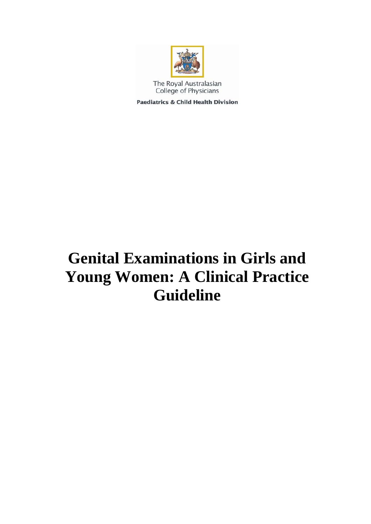

The Royal Australasian College of Physicians

**Paediatrics & Child Health Division** 

# **Genital Examinations in Girls and Young Women: A Clinical Practice Guideline**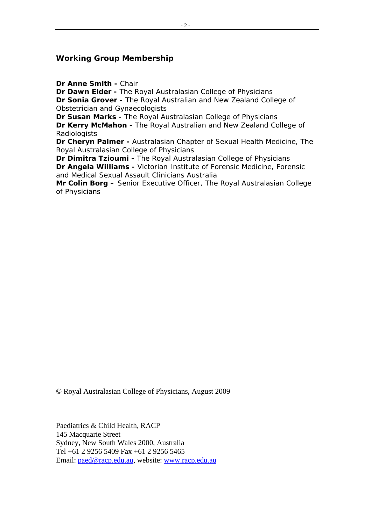#### **Working Group Membership**

**Dr Anne Smith -** Chair

**Dr Dawn Elder -** The Royal Australasian College of Physicians **Dr Sonia Grover -** The Royal Australian and New Zealand College of Obstetrician and Gynaecologists

**Dr Susan Marks -** The Royal Australasian College of Physicians **Dr Kerry McMahon -** The Royal Australian and New Zealand College of **Radiologists** 

**Dr Cheryn Palmer -** Australasian Chapter of Sexual Health Medicine, The Royal Australasian College of Physicians

**Dr Dimitra Tzioumi -** The Royal Australasian College of Physicians **Dr Angela Williams -** Victorian Institute of Forensic Medicine, Forensic and Medical Sexual Assault Clinicians Australia

**Mr Colin Borg –** Senior Executive Officer, The Royal Australasian College of Physicians

© Royal Australasian College of Physicians, August 2009

Paediatrics & Child Health, RACP 145 Macquarie Street Sydney, New South Wales 2000, Australia Tel +61 2 9256 5409 Fax +61 2 9256 5465 Email: [paed@racp.edu.au,](mailto:paed@racp.edu.au) website: [www.racp.edu.au](http://www.racp.edu.au/)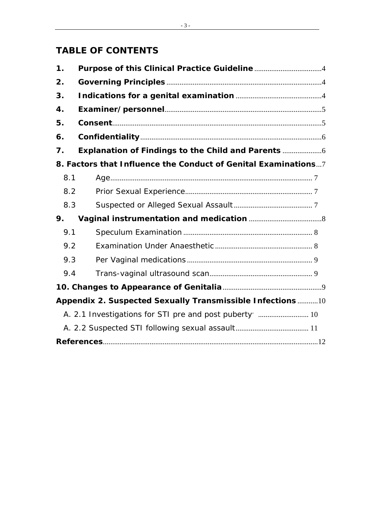# **TABLE OF CONTENTS**

| 1.                                                             |                                                        |
|----------------------------------------------------------------|--------------------------------------------------------|
| 2.                                                             |                                                        |
| 3.                                                             |                                                        |
| $\boldsymbol{4}$ .                                             |                                                        |
| 5.                                                             |                                                        |
| 6.                                                             |                                                        |
| 7.                                                             |                                                        |
| 8. Factors that Influence the Conduct of Genital Examinations7 |                                                        |
| 8.1                                                            |                                                        |
| 8.2                                                            |                                                        |
| 8.3                                                            |                                                        |
| 9.                                                             |                                                        |
| 9.1                                                            |                                                        |
| 9.2                                                            |                                                        |
| 9.3                                                            |                                                        |
| 9.4                                                            |                                                        |
|                                                                |                                                        |
| Appendix 2. Suspected Sexually Transmissible Infections 10     |                                                        |
|                                                                | A. 2.1 Investigations for STI pre and post puberty  10 |
|                                                                |                                                        |
|                                                                |                                                        |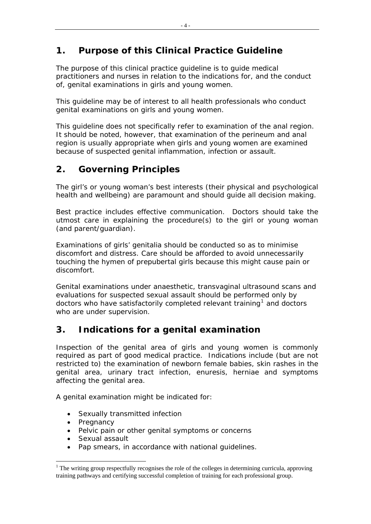# <span id="page-3-0"></span>**1. Purpose of this Clinical Practice Guideline**

The purpose of this clinical practice guideline is to guide medical practitioners and nurses in relation to the indications for, and the conduct of, genital examinations in girls and young women.

This guideline may be of interest to all health professionals who conduct genital examinations on girls and young women.

This guideline does not specifically refer to examination of the anal region. It should be noted, however, that examination of the perineum and anal region is usually appropriate when girls and young women are examined because of suspected genital inflammation, infection or assault.

# **2. Governing Principles**

The girl's or young woman's best interests (their physical and psychological health and wellbeing) are paramount and should guide all decision making.

Best practice includes effective communication. Doctors should take the utmost care in explaining the procedure(s) to the girl or young woman (and parent/guardian).

Examinations of girls' genitalia should be conducted so as to minimise discomfort and distress. Care should be afforded to avoid unnecessarily touching the hymen of prepubertal girls because this might cause pain or discomfort.

Genital examinations under anaesthetic, transvaginal ultrasound scans and evaluations for suspected sexual assault should be performed only by doctors who have satisfactorily completed relevant training<sup>[1](#page-3-1)</sup> and doctors who are under supervision.

# **3. Indications for a genital examination**

Inspection of the genital area of girls and young women is commonly required as part of good medical practice. Indications include (but are not restricted to) the examination of newborn female babies, skin rashes in the genital area, urinary tract infection, enuresis, herniae and symptoms affecting the genital area.

A genital examination might be indicated for:

- Sexually transmitted infection
- Pregnancy
- Pelvic pain or other genital symptoms or concerns
- Sexual assault
- Pap smears, in accordance with national guidelines.

<span id="page-3-1"></span> $\overline{a}$  $1$  The writing group respectfully recognises the role of the colleges in determining curricula, approving training pathways and certifying successful completion of training for each professional group.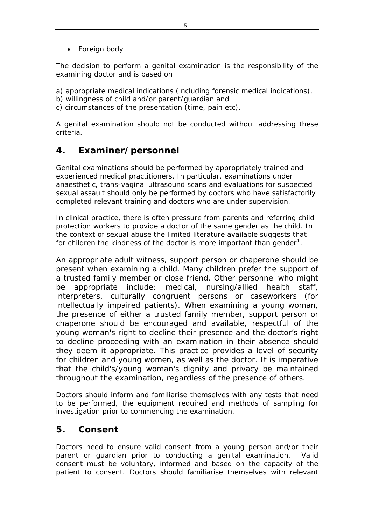<span id="page-4-0"></span>• Foreign body

The decision to perform a genital examination is the responsibility of the examining doctor and is based on

a) appropriate medical indications (including forensic medical indications),

- b) willingness of child and/or parent/guardian and
- c) circumstances of the presentation (time, pain etc).

A genital examination should not be conducted without addressing these criteria.

# **4. Examiner/personnel**

Genital examinations should be performed by appropriately trained and experienced medical practitioners. In particular, examinations under anaesthetic, trans-vaginal ultrasound scans and evaluations for suspected sexual assault should only be performed by doctors who have satisfactorily completed relevant training and doctors who are under supervision.

In clinical practice, there is often pressure from parents and referring child protection workers to provide a doctor of the same gender as the child. In the context of sexual abuse the limited literature available suggests that for children the kindness of the doctor is more important than gender<sup>[1](#page-11-1)</sup>.

An appropriate adult witness, support person or chaperone should be present when examining a child. Many children prefer the support of a trusted family member or close friend. Other personnel who might be appropriate include: medical, nursing/allied health staff, interpreters, culturally congruent persons or caseworkers (for intellectually impaired patients). When examining a young woman, the presence of either a trusted family member, support person or chaperone should be encouraged and available, respectful of the young woman's right to decline their presence and the doctor's right to decline proceeding with an examination in their absence should they deem it appropriate. This practice provides a level of security for children and young women, as well as the doctor. It is imperative that the child's/young woman's dignity and privacy be maintained throughout the examination, regardless of the presence of others.

Doctors should inform and familiarise themselves with any tests that need to be performed, the equipment required and methods of sampling for investigation prior to commencing the examination.

## **5. Consent**

Doctors need to ensure valid consent from a young person and/or their parent or guardian prior to conducting a genital examination. Valid consent must be voluntary, informed and based on the capacity of the patient to consent. Doctors should familiarise themselves with relevant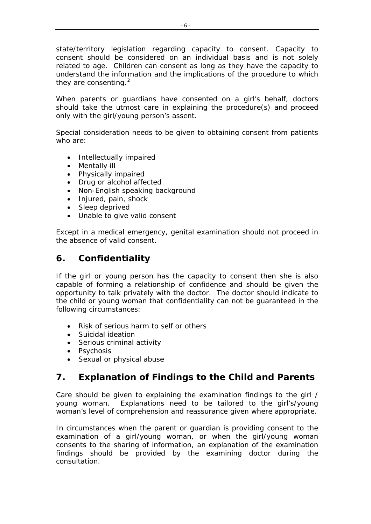<span id="page-5-0"></span>state/territory legislation regarding capacity to consent. Capacity to consent should be considered on an individual basis and is not solely related to age. Children can consent as long as they have the capacity to understand the information and the implications of the procedure to which they are consenting. $2$ 

When parents or guardians have consented on a girl's behalf, doctors should take the utmost care in explaining the procedure(s) and proceed only with the girl/young person's assent.

Special consideration needs to be given to obtaining consent from patients who are:

- Intellectually impaired
- Mentally ill
- Physically impaired
- Drug or alcohol affected
- Non-English speaking background
- Injured, pain, shock
- Sleep deprived
- Unable to give valid consent

Except in a medical emergency, genital examination should not proceed in the absence of valid consent.

## **6. Confidentiality**

If the girl or young person has the capacity to consent then she is also capable of forming a relationship of confidence and should be given the opportunity to talk privately with the doctor. The doctor should indicate to the child or young woman that confidentiality can not be guaranteed in the following circumstances:

- Risk of serious harm to self or others
- Suicidal ideation
- Serious criminal activity
- Psychosis
- Sexual or physical abuse

## **7. Explanation of Findings to the Child and Parents**

Care should be given to explaining the examination findings to the girl / young woman. Explanations need to be tailored to the girl's/young woman's level of comprehension and reassurance given where appropriate.

In circumstances when the parent or guardian is providing consent to the examination of a girl/young woman, or when the girl/young woman consents to the sharing of information, an explanation of the examination findings should be provided by the examining doctor during the consultation.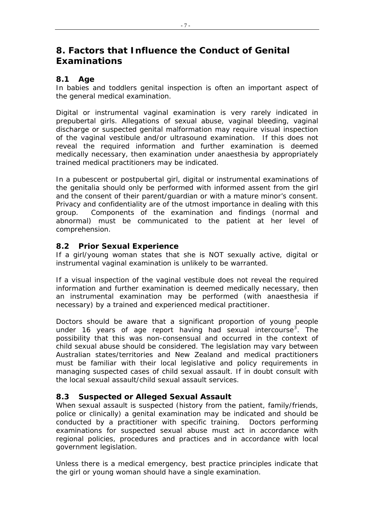## <span id="page-6-0"></span>**8. Factors that Influence the Conduct of Genital Examinations**

#### **8.1 Age**

In babies and toddlers genital inspection is often an important aspect of the general medical examination.

Digital or instrumental vaginal examination is very rarely indicated in prepubertal girls. Allegations of sexual abuse, vaginal bleeding, vaginal discharge or suspected genital malformation may require visual inspection of the vaginal vestibule and/or ultrasound examination. If this does not reveal the required information and further examination is deemed medically necessary, then examination under anaesthesia by appropriately trained medical practitioners may be indicated.

In a pubescent or postpubertal girl, digital or instrumental examinations of the genitalia should only be performed with informed assent from the girl and the consent of their parent/guardian or with a mature minor's consent. Privacy and confidentiality are of the utmost importance in dealing with this group. Components of the examination and findings (normal and abnormal) must be communicated to the patient at her level of comprehension.

#### **8.2 Prior Sexual Experience**

If a girl/young woman states that she is NOT sexually active, digital or instrumental vaginal examination is unlikely to be warranted.

If a visual inspection of the vaginal vestibule does not reveal the required information and further examination is deemed medically necessary, then an instrumental examination may be performed (with anaesthesia if necessary) by a trained and experienced medical practitioner.

Doctors should be aware that a significant proportion of young people under 16 years of age report having had sexual intercourse<sup>[3](#page-11-2)</sup>. The possibility that this was non-consensual and occurred in the context of child sexual abuse should be considered. The legislation may vary between Australian states/territories and New Zealand and medical practitioners must be familiar with their local legislative and policy requirements in managing suspected cases of child sexual assault. If in doubt consult with the local sexual assault/child sexual assault services.

#### **8.3 Suspected or Alleged Sexual Assault**

When sexual assault is suspected (history from the patient, family/friends, police or clinically) a genital examination may be indicated and should be conducted by a practitioner with specific training. Doctors performing examinations for suspected sexual abuse must act in accordance with regional policies, procedures and practices and in accordance with local government legislation.

Unless there is a medical emergency, best practice principles indicate that the girl or young woman should have a single examination.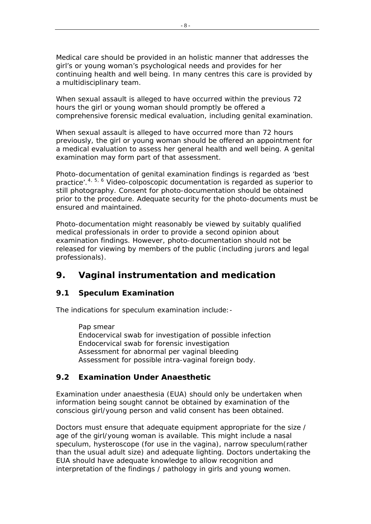<span id="page-7-0"></span>Medical care should be provided in an holistic manner that addresses the girl's or young woman's psychological needs and provides for her gare or young nomano poychological hoods and provided to the continuing health and well being. In many centres this care is provided by a multidisciplinary team.

When sexual assault is alleged to have occurred within the previous 72 hours the girl or young woman should promptly be offered a comprehensive forensic medical evaluation, including genital examination.

When sexual assault is alleged to have occurred more than 72 hours previously, the girl or young woman should be offered an appointment for a medical evaluation to assess her general health and well being. A genital examination may form part of that assessment.

Photo-documentation of genital examination findings is regarded as 'best practice'.<sup>[4](#page-11-2), [5](#page-11-2), [6](#page-11-2)</sup> Video-colposcopic documentation is regarded as superior to still photography. Consent for photo-documentation should be obtained prior to the procedure. Adequate security for the photo-documents must be ensured and maintained.

Photo-documentation might reasonably be viewed by suitably qualified medical professionals in order to provide a second opinion about examination findings. However, photo-documentation should not be released for viewing by members of the public (including jurors and legal professionals).

## **9. Vaginal instrumentation and medication**

#### **9.1 Speculum Examination**

The indications for speculum examination include:-

Pap smear Endocervical swab for investigation of possible infection Endocervical swab for forensic investigation Assessment for abnormal per vaginal bleeding Assessment for possible intra-vaginal foreign body.

#### **9.2 Examination Under Anaesthetic**

Examination under anaesthesia (EUA) should only be undertaken when information being sought cannot be obtained by examination of the conscious girl/young person and valid consent has been obtained.

Doctors must ensure that adequate equipment appropriate for the size / age of the girl/young woman is available. This might include a nasal speculum, hysteroscope (for use in the vagina), narrow speculum(rather than the usual adult size) and adequate lighting. Doctors undertaking the EUA should have adequate knowledge to allow recognition and interpretation of the findings / pathology in girls and young women.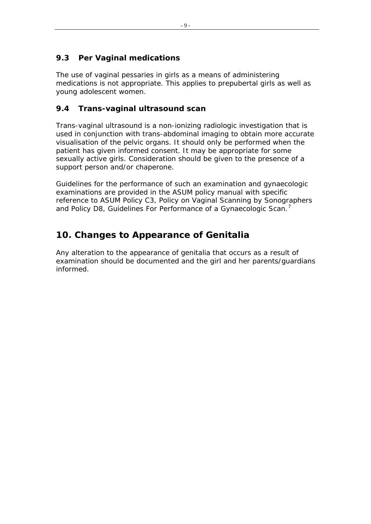### <span id="page-8-0"></span>**9.3 Per Vaginal medications**

The use of vaginal pessaries in girls as a means of administering medications is not appropriate. This applies to prepubertal girls as well as young adolescent women.

#### **9.4 Trans-vaginal ultrasound scan**

Trans-vaginal ultrasound is a non-ionizing radiologic investigation that is used in conjunction with trans-abdominal imaging to obtain more accurate visualisation of the pelvic organs. It should only be performed when the patient has given informed consent. It may be appropriate for some sexually active girls. Consideration should be given to the presence of a support person and/or chaperone.

Guidelines for the performance of such an examination and gynaecologic examinations are provided in the ASUM policy manual with specific reference to ASUM Policy C3, Policy on Vaginal Scanning by Sonographers and Policy D8, Guidelines For Performance of a Gynaecologic Scan.<sup>[7](#page-11-2)</sup>

# **10. Changes to Appearance of Genitalia**

Any alteration to the appearance of genitalia that occurs as a result of examination should be documented and the girl and her parents/guardians informed.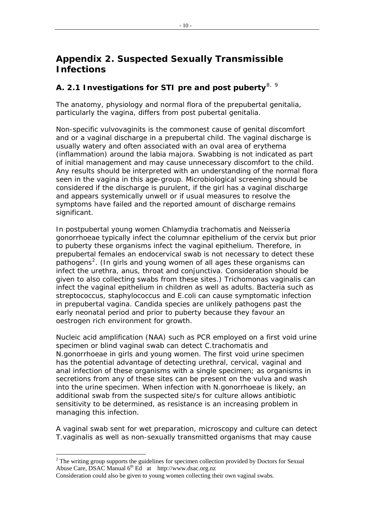## <span id="page-9-0"></span>**Appendix 2. Suspected Sexually Transmissible Infections**

# **A. 2.1 Investigations for STI pre and post puberty**[8](#page-11-2), [9](#page-11-2)

The anatomy, physiology and normal flora of the prepubertal genitalia, particularly the vagina, differs from post pubertal genitalia.

Non-specific vulvovaginits is the commonest cause of genital discomfort and or a vaginal discharge in a prepubertal child. The vaginal discharge is usually watery and often associated with an oval area of erythema (inflammation) around the labia majora. Swabbing is not indicated as part of initial management and may cause unnecessary discomfort to the child. Any results should be interpreted with an understanding of the normal flora seen in the vagina in this age-group. Microbiological screening should be considered if the discharge is purulent, if the girl has a vaginal discharge and appears systemically unwell or if usual measures to resolve the symptoms have failed and the reported amount of discharge remains significant.

In postpubertal young women Chlamydia trachomatis and Neisseria gonorrhoeae typically infect the columnar epithelium of the cervix but prior to puberty these organisms infect the vaginal epithelium. Therefore, in prepubertal females an endocervical swab is not necessary to detect these pathogens<sup>[2](#page-9-1)</sup>. (In girls and young women of all ages these organisms can infect the urethra, anus, throat and conjunctiva. Consideration should be given to also collecting swabs from these sites.) Trichomonas vaginalis can infect the vaginal epithelium in children as well as adults. Bacteria such as streptococcus, staphylococcus and E.coli can cause symptomatic infection in prepubertal vagina. Candida species are unlikely pathogens past the early neonatal period and prior to puberty because they favour an oestrogen rich environment for growth.

Nucleic acid amplification (NAA) such as PCR employed on a first void urine specimen or blind vaginal swab can detect *C.trachomatis and N.gonorrhoeae* in girls and young women. The first void urine specimen has the potential advantage of detecting urethral, cervical, vaginal and anal infection of these organisms with a single specimen; as organisms in secretions from any of these sites can be present on the vulva and wash into the urine specimen. When infection with *N.gonorrhoeae* is likely, an additional swab from the suspected site/s for culture allows antibiotic sensitivity to be determined, as resistance is an increasing problem in managing this infection.

A vaginal swab sent for wet preparation, microscopy and culture can detect *T.vaginalis* as well as non-sexually transmitted organisms that may cause

 $\overline{a}$ 

<span id="page-9-1"></span> $2^2$  The writing group supports the guidelines for specimen collection provided by Doctors for Sexual Abuse Care, DSAC Manual 6th Ed at http://www.dsac.org.nz

Consideration could also be given to young women collecting their own vaginal swabs.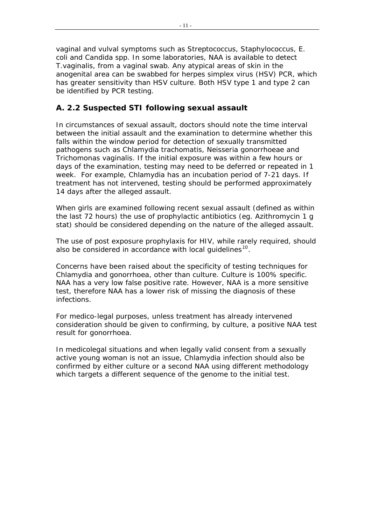<span id="page-10-0"></span>vaginal and vulval symptoms such as Streptococcus, Staphylococcus, E. coli and Candida spp. In some laboratories, NAA is available to detect *T.vaginalis*, from a vaginal swab. Any atypical areas of skin in the anogenital area can be swabbed for herpes simplex virus (HSV) PCR, which has greater sensitivity than HSV culture. Both HSV type 1 and type 2 can be identified by PCR testing.

#### **A. 2.2 Suspected STI following sexual assault**

In circumstances of sexual assault, doctors should note the time interval between the initial assault and the examination to determine whether this falls within the window period for detection of sexually transmitted pathogens such as *Chlamydia trachomatis, Neisseria gonorrhoeae* and *Trichomonas vaginalis*. If the initial exposure was within a few hours or days of the examination, testing may need to be deferred or repeated in 1 week. For example, Chlamydia has an incubation period of 7-21 days. If treatment has not intervened, testing should be performed approximately 14 days after the alleged assault.

When girls are examined following recent sexual assault (defined as within the last 72 hours) the use of prophylactic antibiotics (eg. Azithromycin 1 g stat) should be considered depending on the nature of the alleged assault.

The use of post exposure prophylaxis for HIV, while rarely required, should also be considered in accordance with local quidelines $10$ .

Concerns have been raised about the specificity of testing techniques for Chlamydia and gonorrhoea, other than culture. Culture is 100% specific. NAA has a very low false positive rate. However, NAA is a more sensitive test, therefore NAA has a lower risk of missing the diagnosis of these infections.

For medico-legal purposes, unless treatment has already intervened consideration should be given to confirming, by culture, a positive NAA test result for gonorrhoea.

In medicolegal situations and when legally valid consent from a sexually active young woman is not an issue, Chlamydia infection should also be confirmed by either culture or a second NAA using different methodology which targets a different sequence of the genome to the initial test.